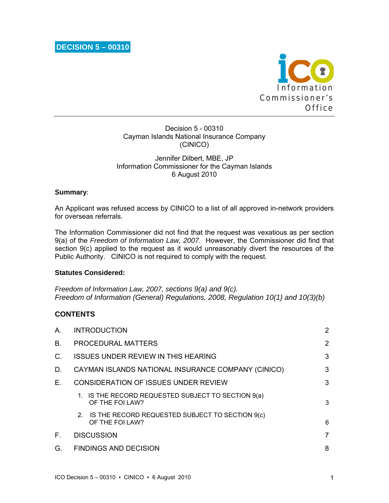

Decision 5 - 00310 Cayman Islands National Insurance Company (CINICO)

## Jennifer Dilbert, MBE, JP Information Commissioner for the Cayman Islands 6 August 2010

## **Summary**:

An Applicant was refused access by CINICO to a list of all approved in-network providers for overseas referrals.

The Information Commissioner did not find that the request was vexatious as per section 9(a) of the *Freedom of Information Law, 2007*. However, the Commissioner did find that section 9(c) applied to the request as it would unreasonably divert the resources of the Public Authority. CINICO is not required to comply with the request.

### **Statutes Considered:**

*Freedom of Information Law, 2007, sections 9(a) and 9(c). Freedom of Information (General) Regulations, 2008, Regulation 10(1) and 10(3)(b)* 

## **CONTENTS**

| А. | <b>INTRODUCTION</b>                                                   | 2 |
|----|-----------------------------------------------------------------------|---|
| В. | <b>PROCEDURAL MATTERS</b>                                             | 2 |
| C. | <b>ISSUES UNDER REVIEW IN THIS HEARING</b>                            | 3 |
| D. | CAYMAN ISLANDS NATIONAL INSURANCE COMPANY (CINICO)                    | 3 |
| Е. | CONSIDERATION OF ISSUES UNDER REVIEW                                  | 3 |
|    | 1. IS THE RECORD REQUESTED SUBJECT TO SECTION 9(a)<br>OF THE FOI LAW? | 3 |
|    | 2. IS THE RECORD REQUESTED SUBJECT TO SECTION 9(c)<br>OF THE FOI LAW? | 6 |
| Е. | <b>DISCUSSION</b>                                                     | 7 |
| G. | <b>FINDINGS AND DECISION</b>                                          | 8 |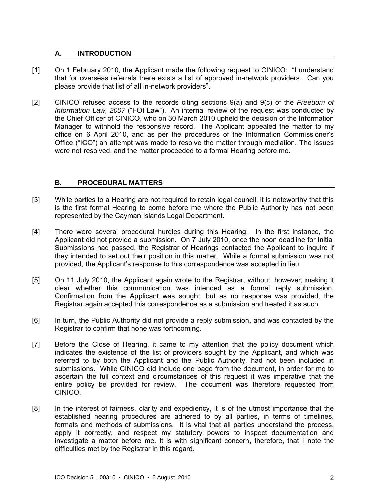# **A. INTRODUCTION**

- [1] On 1 February 2010, the Applicant made the following request to CINICO: "I understand that for overseas referrals there exists a list of approved in-network providers. Can you please provide that list of all in-network providers".
- [2] CINICO refused access to the records citing sections 9(a) and 9(c) of the *Freedom of Information Law, 2007* ("FOI Law"). An internal review of the request was conducted by the Chief Officer of CINICO, who on 30 March 2010 upheld the decision of the Information Manager to withhold the responsive record. The Applicant appealed the matter to my office on 6 April 2010, and as per the procedures of the Information Commissioner's Office ("ICO") an attempt was made to resolve the matter through mediation. The issues were not resolved, and the matter proceeded to a formal Hearing before me.

## **B. PROCEDURAL MATTERS**

- [3] While parties to a Hearing are not required to retain legal council, it is noteworthy that this is the first formal Hearing to come before me where the Public Authority has not been represented by the Cayman Islands Legal Department.
- [4] There were several procedural hurdles during this Hearing. In the first instance, the Applicant did not provide a submission. On 7 July 2010, once the noon deadline for Initial Submissions had passed, the Registrar of Hearings contacted the Applicant to inquire if they intended to set out their position in this matter. While a formal submission was not provided, the Applicant's response to this correspondence was accepted in lieu.
- [5] On 11 July 2010, the Applicant again wrote to the Registrar, without, however, making it clear whether this communication was intended as a formal reply submission. Confirmation from the Applicant was sought, but as no response was provided, the Registrar again accepted this correspondence as a submission and treated it as such.
- [6] In turn, the Public Authority did not provide a reply submission, and was contacted by the Registrar to confirm that none was forthcoming.
- [7] Before the Close of Hearing, it came to my attention that the policy document which indicates the existence of the list of providers sought by the Applicant, and which was referred to by both the Applicant and the Public Authority, had not been included in submissions. While CINICO did include one page from the document, in order for me to ascertain the full context and circumstances of this request it was imperative that the entire policy be provided for review. The document was therefore requested from CINICO.
- [8] In the interest of fairness, clarity and expediency, it is of the utmost importance that the established hearing procedures are adhered to by all parties, in terms of timelines, formats and methods of submissions. It is vital that all parties understand the process, apply it correctly, and respect my statutory powers to inspect documentation and investigate a matter before me. It is with significant concern, therefore, that I note the difficulties met by the Registrar in this regard.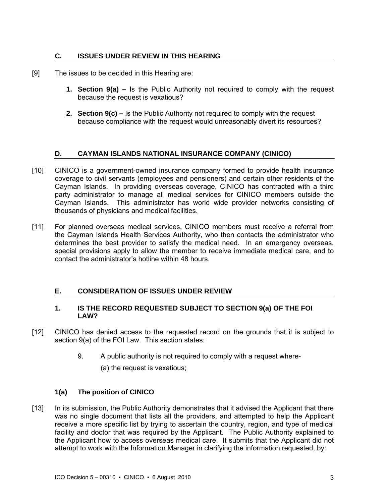## **C. ISSUES UNDER REVIEW IN THIS HEARING**

- [9] The issues to be decided in this Hearing are:
	- **1. Section 9(a)** Is the Public Authority not required to comply with the request because the request is vexatious?
	- **2. Section 9(c)** Is the Public Authority not required to comply with the request because compliance with the request would unreasonably divert its resources?

## **D. CAYMAN ISLANDS NATIONAL INSURANCE COMPANY (CINICO)**

- [10] CINICO is a government-owned insurance company formed to provide health insurance coverage to civil servants (employees and pensioners) and certain other residents of the Cayman Islands. In providing overseas coverage, CINICO has contracted with a third party administrator to manage all medical services for CINICO members outside the Cayman Islands. This administrator has world wide provider networks consisting of thousands of physicians and medical facilities.
- [11] For planned overseas medical services, CINICO members must receive a referral from the Cayman Islands Health Services Authority, who then contacts the administrator who determines the best provider to satisfy the medical need. In an emergency overseas, special provisions apply to allow the member to receive immediate medical care, and to contact the administrator's hotline within 48 hours.

## **E. CONSIDERATION OF ISSUES UNDER REVIEW**

## **1. IS THE RECORD REQUESTED SUBJECT TO SECTION 9(a) OF THE FOI LAW?**

- [12] CINICO has denied access to the requested record on the grounds that it is subject to section 9(a) of the FOI Law. This section states:
	- 9. A public authority is not required to comply with a request where-
		- (a) the request is vexatious;

## **1(a) The position of CINICO**

[13] In its submission, the Public Authority demonstrates that it advised the Applicant that there was no single document that lists all the providers, and attempted to help the Applicant receive a more specific list by trying to ascertain the country, region, and type of medical facility and doctor that was required by the Applicant. The Public Authority explained to the Applicant how to access overseas medical care. It submits that the Applicant did not attempt to work with the Information Manager in clarifying the information requested, by: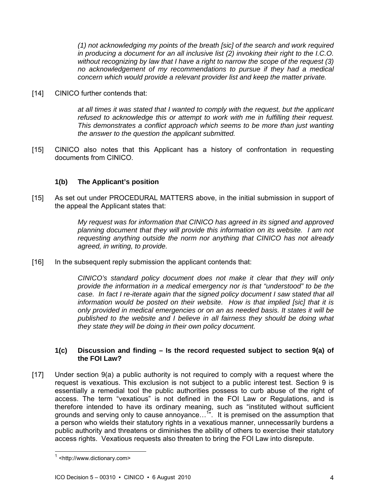*(1) not acknowledging my points of the breath [sic] of the search and work required in producing a document for an all inclusive list (2) invoking their right to the I.C.O. without recognizing by law that I have a right to narrow the scope of the request (3) no acknowledgement of my recommendations to pursue if they had a medical concern which would provide a relevant provider list and keep the matter private.* 

[14] CINICO further contends that:

*at all times it was stated that I wanted to comply with the request, but the applicant refused to acknowledge this or attempt to work with me in fulfilling their request. This demonstrates a conflict approach which seems to be more than just wanting the answer to the question the applicant submitted.* 

[15] CINICO also notes that this Applicant has a history of confrontation in requesting documents from CINICO.

# **1(b) The Applicant's position**

[15] As set out under PROCEDURAL MATTERS above, in the initial submission in support of the appeal the Applicant states that:

> *My request was for information that CINICO has agreed in its signed and approved planning document that they will provide this information on its website. I am not requesting anything outside the norm nor anything that CINICO has not already agreed, in writing, to provide.*

[16] In the subsequent reply submission the applicant contends that:

*CINICO's standard policy document does not make it clear that they will only provide the information in a medical emergency nor is that "understood" to be the case. In fact I re-iterate again that the signed policy document I saw stated that all information would be posted on their website. How is that implied [sic] that it is only provided in medical emergencies or on an as needed basis. It states it will be published to the website and I believe in all fairness they should be doing what they state they will be doing in their own policy document.* 

### **1(c) Discussion and finding – Is the record requested subject to section 9(a) of the FOI Law?**

[17] Under section 9(a) a public authority is not required to comply with a request where the request is vexatious. This exclusion is not subject to a public interest test. Section 9 is essentially a remedial tool the public authorities possess to curb abuse of the right of access. The term "vexatious" is not defined in the FOI Law or Regulations, and is therefore intended to have its ordinary meaning, such as "instituted without sufficient grounds and serving only to cause annoyance...<sup>1"</sup>. It is premised on the assumption that a person who wields their statutory rights in a vexatious manner, unnecessarily burdens a public authority and threatens or diminishes the ability of others to exercise their statutory access rights. Vexatious requests also threaten to bring the FOI Law into disrepute.

l

<sup>1</sup> <http://www.dictionary.com>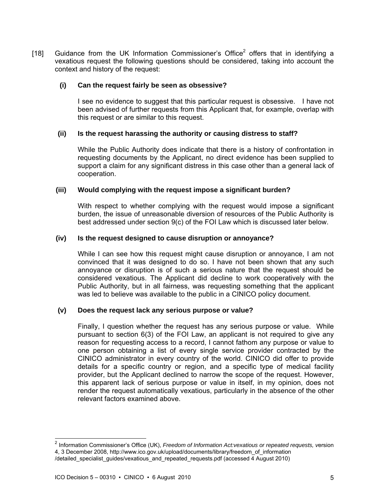[18] Guidance from the UK Information Commissioner's Office<sup>2</sup> offers that in identifying a vexatious request the following questions should be considered, taking into account the context and history of the request:

### **(i) Can the request fairly be seen as obsessive?**

I see no evidence to suggest that this particular request is obsessive. I have not been advised of further requests from this Applicant that, for example, overlap with this request or are similar to this request.

### **(ii) Is the request harassing the authority or causing distress to staff?**

While the Public Authority does indicate that there is a history of confrontation in requesting documents by the Applicant, no direct evidence has been supplied to support a claim for any significant distress in this case other than a general lack of cooperation.

### **(iii) Would complying with the request impose a significant burden?**

With respect to whether complying with the request would impose a significant burden, the issue of unreasonable diversion of resources of the Public Authority is best addressed under section 9(c) of the FOI Law which is discussed later below.

### **(iv) Is the request designed to cause disruption or annoyance?**

While I can see how this request might cause disruption or annoyance, I am not convinced that it was designed to do so. I have not been shown that any such annoyance or disruption is of such a serious nature that the request should be considered vexatious. The Applicant did decline to work cooperatively with the Public Authority, but in all fairness, was requesting something that the applicant was led to believe was available to the public in a CINICO policy document.

### **(v) Does the request lack any serious purpose or value?**

Finally, I question whether the request has any serious purpose or value. While pursuant to section 6(3) of the FOI Law, an applicant is not required to give any reason for requesting access to a record, I cannot fathom any purpose or value to one person obtaining a list of every single service provider contracted by the CINICO administrator in every country of the world. CINICO did offer to provide details for a specific country or region, and a specific type of medical facility provider, but the Applicant declined to narrow the scope of the request. However, this apparent lack of serious purpose or value in itself, in my opinion, does not render the request automatically vexatious, particularly in the absence of the other relevant factors examined above.

l

<sup>2</sup> Information Commissioner's Office (UK), *Freedom of Information Act:vexatious or repeated requests, v*ersion 4, 3 December 2008, http://www.ico.gov.uk/upload/documents/library/freedom\_of\_information /detailed\_specialist\_guides/vexatious\_and\_repeated\_requests.pdf (accessed 4 August 2010)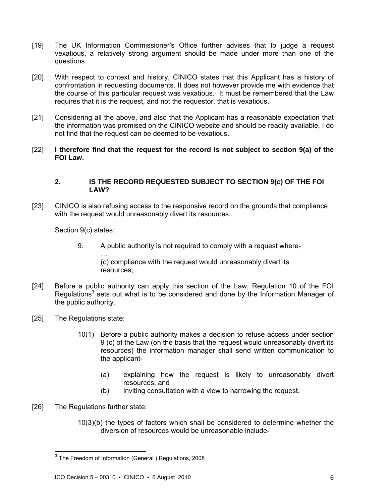- [19] The UK Information Commissioner's Office further advises that to judge a request vexatious, a relatively strong argument should be made under more than one of the questions.
- [20] With respect to context and history, CINICO states that this Applicant has a history of confrontation in requesting documents. It does not however provide me with evidence that the course of this particular request was vexatious. It must be remembered that the Law requires that it is the request, and not the requestor, that is vexatious.
- [21] Considering all the above, and also that the Applicant has a reasonable expectation that the information was promised on the CINICO website and should be readily available, I do not find that the request can be deemed to be vexatious.
- [22] **I therefore find that the request for the record is not subject to section 9(a) of the FOI Law.**

### **2. IS THE RECORD REQUESTED SUBJECT TO SECTION 9(c) OF THE FOI LAW?**

[23] CINICO is also refusing access to the responsive record on the grounds that compliance with the request would unreasonably divert its resources.

Section 9(c) states:

9. A public authority is not required to comply with a request where-

… (c) compliance with the request would unreasonably divert its resources;

- [24] Before a public authority can apply this section of the Law, Regulation 10 of the FOI Regulations<sup>3</sup> sets out what is to be considered and done by the Information Manager of the public authority.
- [25] The Regulations state:
	- 10(1) Before a public authority makes a decision to refuse access under section 9 (c) of the Law (on the basis that the request would unreasonably divert its resources) the information manager shall send written communication to the applicant-
		- (a) explaining how the request is likely to unreasonably divert resources; and
		- (b) inviting consultation with a view to narrowing the request.
- [26] The Regulations further state:

l

10(3)(b) the types of factors which shall be considered to determine whether the diversion of resources would be unreasonable include-

 $3$  The Freedom of Information (General ) Regulations, 2008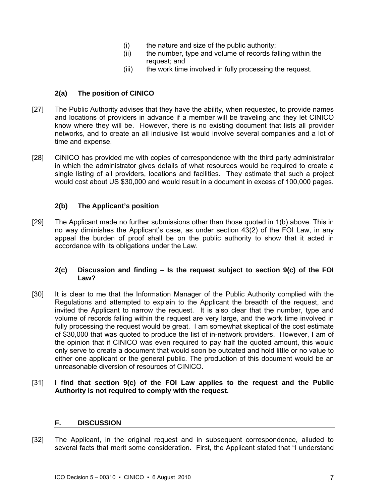- (i) the nature and size of the public authority;
- (ii) the number, type and volume of records falling within the request; and
- (iii) the work time involved in fully processing the request.

## **2(a) The position of CINICO**

- [27] The Public Authority advises that they have the ability, when requested, to provide names and locations of providers in advance if a member will be traveling and they let CINICO know where they will be. However, there is no existing document that lists all provider networks, and to create an all inclusive list would involve several companies and a lot of time and expense.
- [28] CINICO has provided me with copies of correspondence with the third party administrator in which the administrator gives details of what resources would be required to create a single listing of all providers, locations and facilities. They estimate that such a project would cost about US \$30,000 and would result in a document in excess of 100,000 pages.

## **2(b) The Applicant's position**

[29] The Applicant made no further submissions other than those quoted in 1(b) above. This in no way diminishes the Applicant's case, as under section 43(2) of the FOI Law, in any appeal the burden of proof shall be on the public authority to show that it acted in accordance with its obligations under the Law.

### **2(c) Discussion and finding – Is the request subject to section 9(c) of the FOI Law?**

- [30] It is clear to me that the Information Manager of the Public Authority complied with the Regulations and attempted to explain to the Applicant the breadth of the request, and invited the Applicant to narrow the request. It is also clear that the number, type and volume of records falling within the request are very large, and the work time involved in fully processing the request would be great. I am somewhat skeptical of the cost estimate of \$30,000 that was quoted to produce the list of in-network providers. However, I am of the opinion that if CINICO was even required to pay half the quoted amount, this would only serve to create a document that would soon be outdated and hold little or no value to either one applicant or the general public. The production of this document would be an unreasonable diversion of resources of CINICO.
- [31] **I find that section 9(c) of the FOI Law applies to the request and the Public Authority is not required to comply with the request.**

## **F. DISCUSSION**

[32] The Applicant, in the original request and in subsequent correspondence, alluded to several facts that merit some consideration. First, the Applicant stated that "I understand